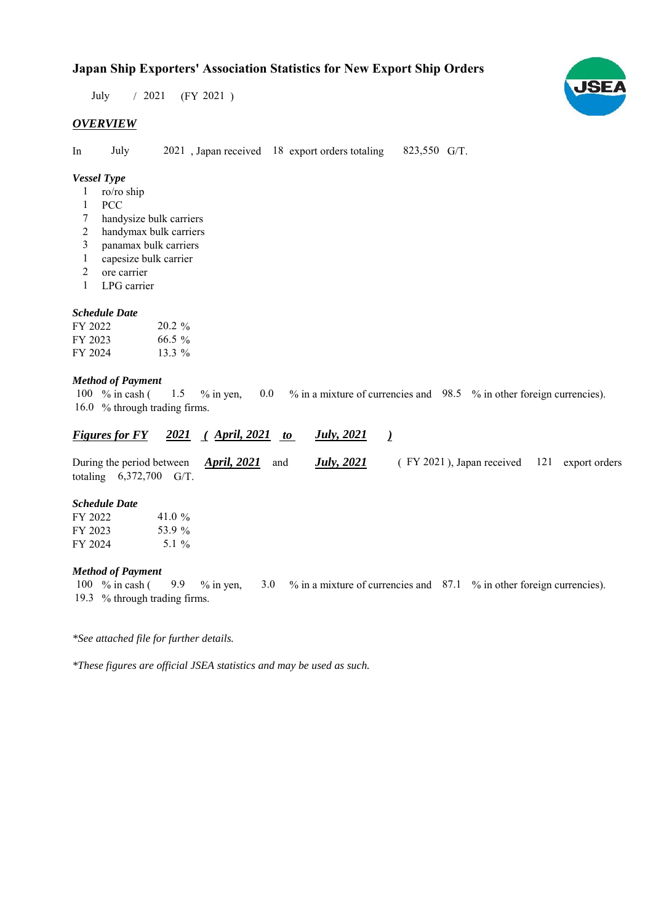$/ 2021$  (FY 2021) July

## *OVERVIEW*

In July 2021, Japan received 18 export orders totaling 823,550 G/T.

## *Vessel Type*

- ro/ro ship 1
- PCC 1
- handysize bulk carriers 7
- handymax bulk carriers 2
- panamax bulk carriers 3
- capesize bulk carrier 1
- ore carrier 2
- LPG carrier 1

### *Schedule Date*

| FY 2022 | $20.2\%$ |
|---------|----------|
| FY 2023 | $66.5\%$ |
| FY 2024 | 13.3 $%$ |

### *Method of Payment*

100 % in cash ( 1.5 % in yen, 0.0 % in a mixture of currencies and 98.5 % in other foreign currencies). 16.0 % through trading firms. 1.5  $%$  1 in yen,

| Figures for FY 2021 (April, 2021 to              |  |  | <u>July, 2021</u>  |                                                |  |
|--------------------------------------------------|--|--|--------------------|------------------------------------------------|--|
| During the period between $\bm{April}, 2021$ and |  |  | <b>July</b> , 2021 | $($ FY 2021), Japan received 121 export orders |  |
| totaling $6,372,700$ G/T.                        |  |  |                    |                                                |  |

## *Schedule Date*

| FY 2022 | 41.0 %   |
|---------|----------|
| FY 2023 | 53.9%    |
| FY 2024 | 5.1 $\%$ |

#### *Method of Payment*

% in cash ( $\frac{9.9}{8}$  % in yen,  $\frac{3.0}{8}$  % in a mixture of currencies and  $\frac{87.1}{8}$  % in other foreign currencies). % through trading firms. 19.3100 % in cash (

*\*See attached file for further details.*

*\*These figures are official JSEA statistics and may be used as such.*

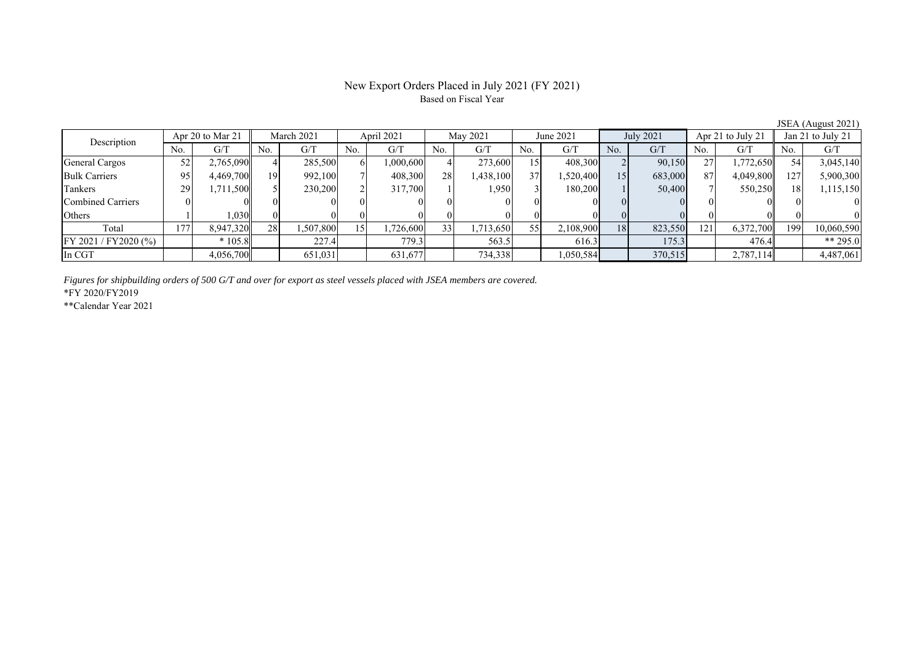# New Export Orders Placed in July 2021 (FY 2021) Based on Fiscal Year

JSEA (August 2021)

| Description           | Apr 20 to Mar 21 |           | March 2021 |           | April 2021 |           | May 2021 |           | June 2021 |           | <b>July 2021</b> |         | Apr 21 to July 21 |           | Jan 21 to July 21 |            |
|-----------------------|------------------|-----------|------------|-----------|------------|-----------|----------|-----------|-----------|-----------|------------------|---------|-------------------|-----------|-------------------|------------|
|                       | No.              | G/T       | No.        | G/T       | No.        | G/T       | No.      | G/T       | No.       | G/T       | No.              | G/T     | No.               | G/T       | No.               | G/T        |
| <b>General Cargos</b> | 52               | 2,765,090 |            | 285,500   |            | 1,000,600 |          | 273,600   | 15        | 408,300   |                  | 90,150  | 27                | 1,772,650 | 54                | 3,045,140  |
| <b>Bulk Carriers</b>  | 95               | 4,469,700 | 191        | 992,100   |            | 408,300   | 28       | 1,438,100 | 37        | 1,520,400 | 15               | 683,000 | 87                | 4,049,800 | 127               | 5,900,300  |
| Tankers               | 29               | 1,711,500 |            | 230,200   |            | 317,700   |          | 1,950     |           | 180,200   |                  | 50,400  |                   | 550,250   |                   | 1,115,150  |
| Combined Carriers     |                  |           |            | 01        |            |           |          |           |           |           |                  |         |                   |           |                   |            |
| Others                |                  | 1,030     |            | $\Omega$  |            |           |          |           |           |           |                  |         |                   |           |                   |            |
| Total                 | 177              | 8,947,320 | 28         | 1,507,800 | 15         | ,726,600  | 33       | 1,713,650 | 55        | 2,108,900 | <b>18</b>        | 823,550 | 121               | 6,372,700 | 199               | 10,060,590 |
| FY 2021 / FY2020 (%)  |                  | $*105.8$  |            | 227.4     |            | 779.3     |          | 563.5     |           | 616.3     |                  | 175.3   |                   | 476.4     |                   | ** 295.0   |
| In CGT                |                  | 4,056,700 |            | 651,031   |            | 631,677   |          | 734,338   |           | 1,050,584 |                  | 370,515 |                   | 2,787,114 |                   | 4,487,061  |

*Figures for shipbuilding orders of 500 G/T and over for export as steel vessels placed with JSEA members are covered.*

\*FY 2020/FY2019

\*\*Calendar Year 2021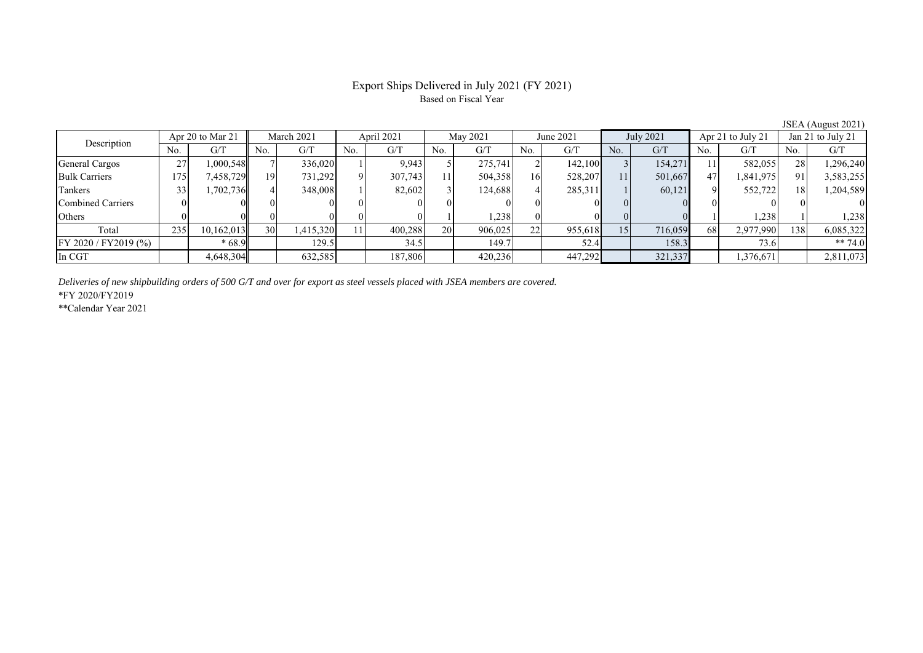# Export Ships Delivered in July 2021 (FY 2021) Based on Fiscal Year

JSEA (August 2021)

| Description          | Apr 20 to Mar 21 |            | March 2021 |           | April 2021 |         | May 2021       |         | June 2021 |         | <b>July 2021</b> |         | Apr 21 to July 21 |           | Jan 21 to July 21 |           |
|----------------------|------------------|------------|------------|-----------|------------|---------|----------------|---------|-----------|---------|------------------|---------|-------------------|-----------|-------------------|-----------|
|                      | No.              | G/T        | No.        | G/T       | No.        | G/T     | N <sub>0</sub> | G/T     | No.       | G/T     | No.              | G/T     | No.               | G/T       | N <sub>0</sub>    | G/T       |
| General Cargos       | 27               | 1,000,548  |            | 336,020   |            | 9.943   |                | 275,741 |           | 142,100 |                  | 154,271 |                   | 582,055   | 28                | 296,240   |
| <b>Bulk Carriers</b> | 175              | 7,458,729  | 191        | 731,292   |            | 307,743 |                | 504,358 | 16        | 528,207 | 11               | 501,667 | 47                | 1,841,975 | 91                | 3,583,255 |
| Tankers              |                  | 1,702,736  |            | 348,008   |            | 82,602  |                | 124,688 |           | 285,311 |                  | 60,121  |                   | 552,722   | 18 <sub>1</sub>   | 1,204,589 |
| Combined Carriers    |                  |            |            |           |            |         |                |         |           |         |                  |         |                   |           |                   |           |
| Others               |                  |            |            |           |            |         |                | 1,238   |           |         |                  |         |                   | .238      |                   | 1,238     |
| Total                | 235              | 10,162,013 | 30         | 1,415,320 | 11         | 400,288 | <b>20</b>      | 906,025 | 22        | 955,618 | 15               | 716,059 | 68                | 2,977,990 | 138               | 6,085,322 |
| FY 2020 / FY2019 (%) |                  | $*68.9$    |            | 129.5     |            | 34.5    |                | 149.7   |           | 52.4    |                  | 158.3   |                   | 73.6      |                   | ** 74.0   |
| In CGT               |                  | 4,648,304  |            | 632,585   |            | 187,806 |                | 420,236 |           | 447,292 |                  | 321,337 |                   | 1,376,671 |                   | 2,811,073 |

*Deliveries of new shipbuilding orders of 500 G/T and over for export as steel vessels placed with JSEA members are covered.*

\*FY 2020/FY2019

\*\*Calendar Year 2021